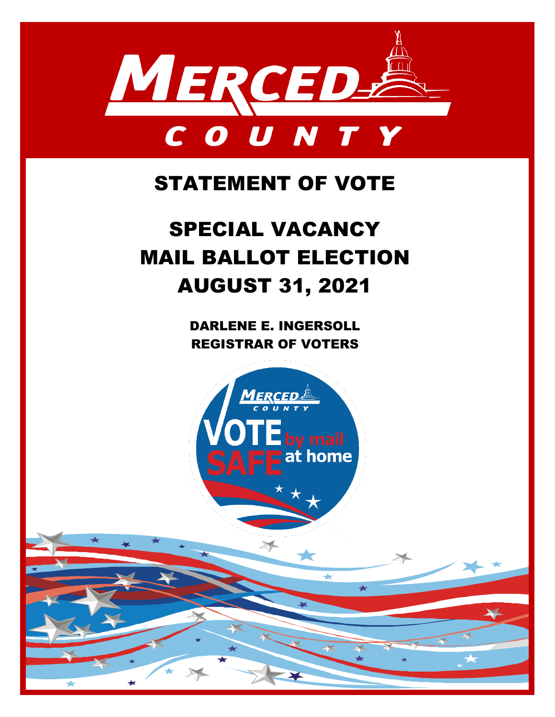

## STATEMENT OF VOTE

# SPECIAL VACANCY MAIL BALLOT ELECTION AUGUST 31, 2021

DARLENE E. INGERSOLL REGISTRAR OF VOTERS

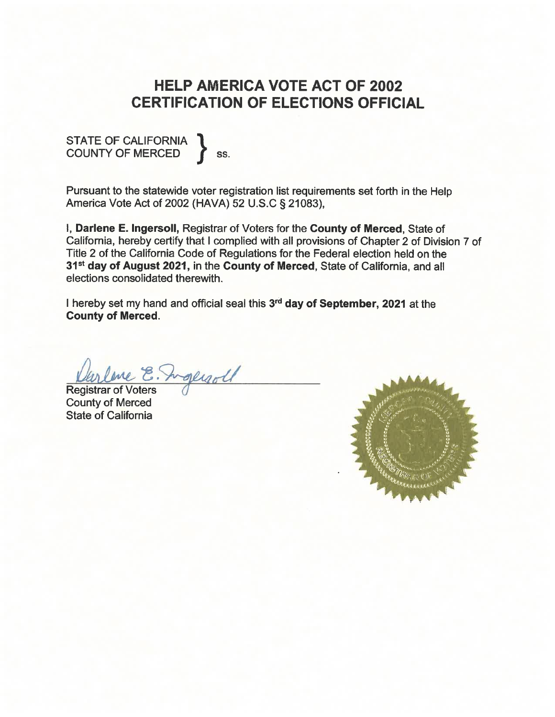## **HELP AMERICA VOTE ACT OF 2002 CERTIFICATION OF ELECTIONS OFFICIAL**

#### STATE OF CALIFORNIA **COUNTY OF MERCED** SS.

Pursuant to the statewide voter registration list requirements set forth in the Help America Vote Act of 2002 (HAVA) 52 U.S.C § 21083),

I, Darlene E. Ingersoll, Registrar of Voters for the County of Merced, State of California, hereby certify that I complied with all provisions of Chapter 2 of Division 7 of Title 2 of the California Code of Regulations for the Federal election held on the 31<sup>st</sup> day of August 2021, in the County of Merced, State of California, and all elections consolidated therewith.

I hereby set my hand and official seal this 3<sup>rd</sup> day of September, 2021 at the **County of Merced.** 

Varline E. Inglyoll

**County of Merced State of California** 

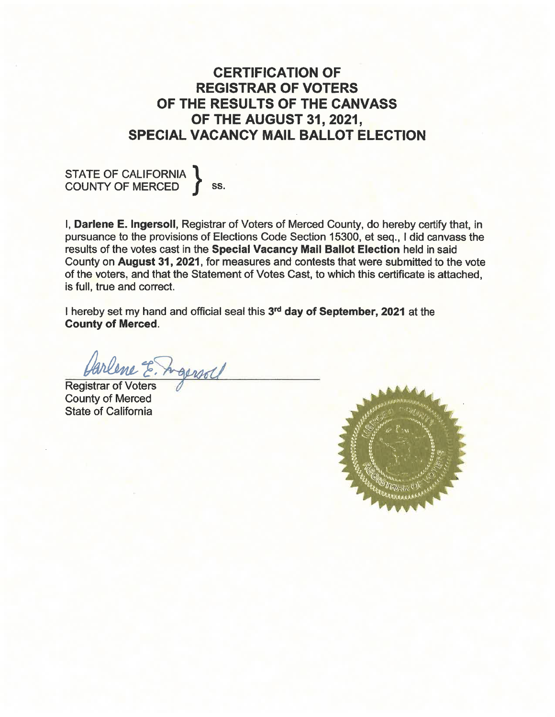### **CERTIFICATION OF REGISTRAR OF VOTERS** OF THE RESULTS OF THE CANVASS OF THE AUGUST 31, 2021, **SPECIAL VACANCY MAIL BALLOT ELECTION**

STATE OF CALIFORNIA Ss.

I, Darlene E. Ingersoll, Registrar of Voters of Merced County, do hereby certify that, in pursuance to the provisions of Elections Code Section 15300, et seq., I did canvass the results of the votes cast in the Special Vacancy Mail Ballot Election held in said County on August 31, 2021, for measures and contests that were submitted to the vote of the voters, and that the Statement of Votes Cast, to which this certificate is attached. is full, true and correct.

I hereby set my hand and official seal this 3rd day of September, 2021 at the **County of Merced.** 

arlene E. Agensal

**Registrar of Voters County of Merced State of California** 

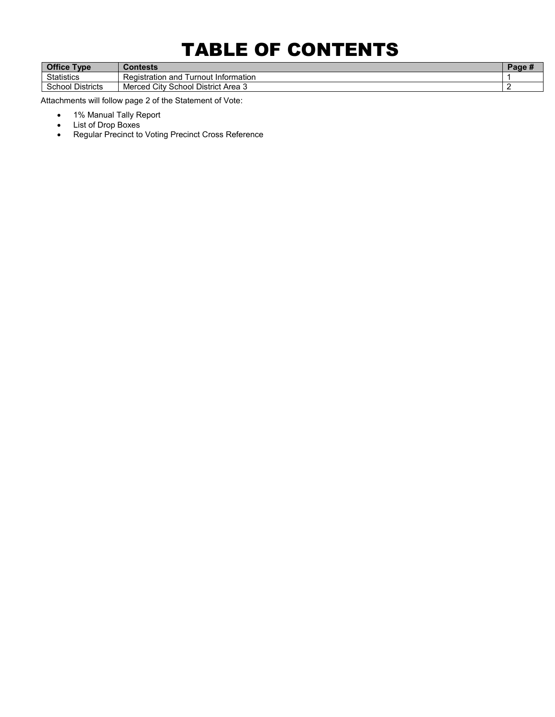## TABLE OF CONTENTS

| <b>Office</b><br><b>Type</b> | Contests                                        | uч |
|------------------------------|-------------------------------------------------|----|
| Statistics                   | Turnout Information<br>Registration and         |    |
| School<br><b>Districts</b>   | v School District Area 3:<br><b>Merced City</b> |    |

Attachments will follow page 2 of the Statement of Vote:

- 1% Manual Tally Report
- List of Drop Boxes
- Regular Precinct to Voting Precinct Cross Reference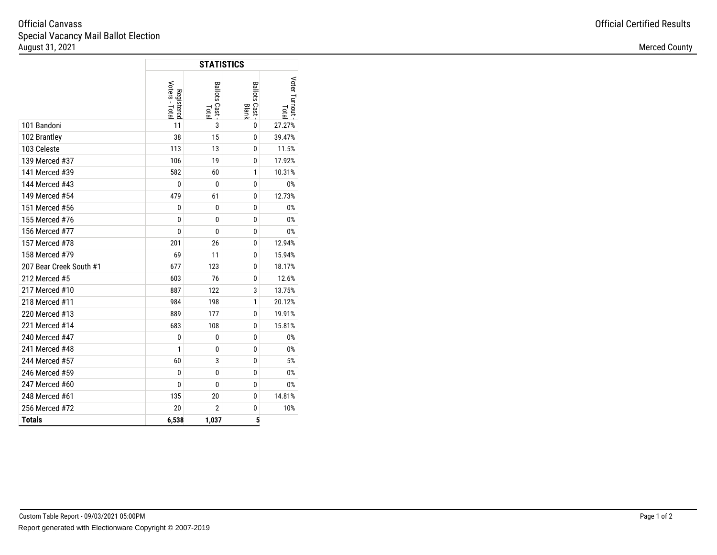#### Special Vacancy Mail Ballot ElectionAugust 31, 20211 **Merced County Merced County Merced County Merced County Merced County** Official Canvass

|                         |                              | <b>STATISTICS</b>              |                              |                              |
|-------------------------|------------------------------|--------------------------------|------------------------------|------------------------------|
|                         | Voters - Total<br>Registered | Ballots Cast -<br><b>Total</b> | <b>Ballots Cast</b><br>Blank | Voter Turnout<br><b>Lota</b> |
| 101 Bandoni             | 11                           | 3                              | 0                            | 27.27%                       |
| 102 Brantley            | 38                           | 15                             | 0                            | 39.47%                       |
| 103 Celeste             | 113                          | 13                             | 0                            | 11.5%                        |
| 139 Merced #37          | 106                          | 19                             | 0                            | 17.92%                       |
| 141 Merced #39          | 582                          | 60                             | 1                            | 10.31%                       |
| 144 Merced #43          | 0                            | 0                              | 0                            | 0%                           |
| 149 Merced #54          | 479                          | 61                             | 0                            | 12.73%                       |
| 151 Merced #56          | $\bf{0}$                     | $\bf{0}$                       | 0                            | 0%                           |
| 155 Merced #76          | 0                            | $\mathbf{0}$                   | 0                            | 0%                           |
| 156 Merced #77          | 0                            | 0                              | 0                            | 0%                           |
| 157 Merced #78          | 201                          | 26                             | 0                            | 12.94%                       |
| 158 Merced #79          | 69                           | 11                             | 0                            | 15.94%                       |
| 207 Bear Creek South #1 | 677                          | 123                            | 0                            | 18.17%                       |
| 212 Merced #5           | 603                          | 76                             | 0                            | 12.6%                        |
| 217 Merced #10          | 887                          | 122                            | 3                            | 13.75%                       |
| 218 Merced #11          | 984                          | 198                            | 1                            | 20.12%                       |
| 220 Merced #13          | 889                          | 177                            | 0                            | 19.91%                       |
| 221 Merced #14          | 683                          | 108                            | 0                            | 15.81%                       |
| 240 Merced #47          | 0                            | 0                              | 0                            | 0%                           |
| 241 Merced #48          | 1                            | 0                              | 0                            | 0%                           |
| 244 Merced #57          | 60                           | 3                              | 0                            | 5%                           |
| 246 Merced #59          | 0                            | $\bf{0}$                       | 0                            | 0%                           |
| 247 Merced #60          | 0                            | 0                              | 0                            | 0%                           |
| 248 Merced #61          | 135                          | 20                             | 0                            | 14.81%                       |
| 256 Merced #72          | 20                           | $\overline{2}$                 | 0                            | 10%                          |
| <b>Totals</b>           | 6,538                        | 1,037                          | 5                            |                              |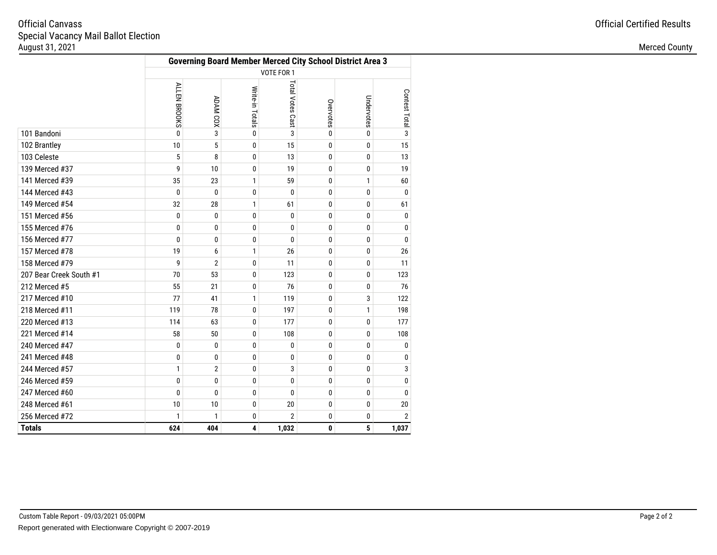#### Special Vacancy Mail Ballot ElectionAugust 31, 20211 **Merced County Merced County Merced County** Official Canvass

|                         | <b>Governing Board Member Merced City School District Area 3</b> |                 |                 |                  |           |            |                 |  |  |
|-------------------------|------------------------------------------------------------------|-----------------|-----------------|------------------|-----------|------------|-----------------|--|--|
|                         | VOTE FOR 1                                                       |                 |                 |                  |           |            |                 |  |  |
|                         | ALLEN BROOKS                                                     | <b>ADAM COX</b> | Write-in Totals | Total Votes Cast | Overvotes | Undervotes | Contest Total m |  |  |
| 101 Bandoni             | $\mathbf{0}$                                                     | 3               | 0               | 3                | 0         | 0          |                 |  |  |
| 102 Brantley            | 10                                                               | 5               | 0               | 15               | 0         | 0          | 15              |  |  |
| 103 Celeste             | 5                                                                | 8               | 0               | 13               | 0         | 0          | 13              |  |  |
| 139 Merced #37          | 9                                                                | 10              | 0               | 19               | 0         | 0          | 19              |  |  |
| 141 Merced #39          | 35                                                               | 23              | $\mathbf{1}$    | 59               | 0         | 1          | 60              |  |  |
| 144 Merced #43          | 0                                                                | $\mathbf{0}$    | 0               | $\Omega$         | 0         | $\bf{0}$   | 0               |  |  |
| 149 Merced #54          | 32                                                               | 28              | 1               | 61               | 0         | 0          | 61              |  |  |
| 151 Merced #56          | 0                                                                | 0               | 0               | $\mathbf{0}$     | 0         | $\bf{0}$   | 0               |  |  |
| 155 Merced #76          | 0                                                                | 0               | 0               | 0                | 0         | 0          | 0               |  |  |
| 156 Merced #77          | 0                                                                | 0               | 0               | $\mathbf{0}$     | 0         | $\bf{0}$   | 0               |  |  |
| 157 Merced #78          | 19                                                               | 6               | $\mathbf{1}$    | 26               | 0         | 0          | 26              |  |  |
| 158 Merced #79          | 9                                                                | $\overline{2}$  | 0               | 11               | 0         | 0          | 11              |  |  |
| 207 Bear Creek South #1 | 70                                                               | 53              | 0               | 123              | 0         | 0          | 123             |  |  |
| 212 Merced #5           | 55                                                               | 21              | 0               | 76               | 0         | 0          | 76              |  |  |
| 217 Merced #10          | 77                                                               | 41              | $\mathbf{1}$    | 119              | 0         | 3          | 122             |  |  |
| 218 Merced #11          | 119                                                              | 78              | 0               | 197              | 0         | 1          | 198             |  |  |
| 220 Merced #13          | 114                                                              | 63              | 0               | 177              | 0         | 0          | 177             |  |  |
| 221 Merced #14          | 58                                                               | 50              | 0               | 108              | 0         | 0          | 108             |  |  |
| 240 Merced #47          | 0                                                                | 0               | 0               | $\mathbf{0}$     | 0         | 0          | 0               |  |  |
| 241 Merced #48          | 0                                                                | 0               | 0               | 0                | 0         | 0          | 0               |  |  |
| 244 Merced #57          | 1                                                                | $\overline{2}$  | 0               | 3                | 0         | $\bf{0}$   | 3               |  |  |
| 246 Merced #59          | 0                                                                | 0               | 0               | 0                | 0         | 0          | 0               |  |  |
| 247 Merced #60          | 0                                                                | 0               | 0               | $\theta$         | 0         | 0          | 0               |  |  |
| 248 Merced #61          | 10                                                               | 10              | 0               | 20               | 0         | $\bf{0}$   | 20              |  |  |
| 256 Merced #72          | 1                                                                | 1               | 0               | 2                | 0         | 0          | $\overline{2}$  |  |  |
| <b>Totals</b>           | 624                                                              | 404             | 4               | 1,032            | 0         | 5          | 1,037           |  |  |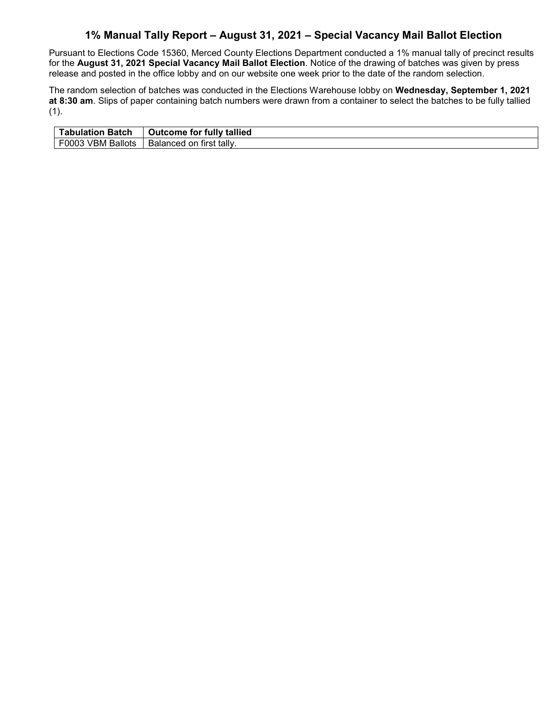### **1% Manual Tally Report – August 31, 2021 – Special Vacancy Mail Ballot Election**

Pursuant to Elections Code 15360, Merced County Elections Department conducted a 1% manual tally of precinct results for the **August 31, 2021 Special Vacancy Mail Ballot Election**. Notice of the drawing of batches was given by press release and posted in the office lobby and on our website one week prior to the date of the random selection.

The random selection of batches was conducted in the Elections Warehouse lobby on **Wednesday, September 1, 2021 at 8:30 am**. Slips of paper containing batch numbers were drawn from a container to select the batches to be fully tallied  $(1).$ 

| ⊤abulation Batch | <b>Outcome for fully tallied</b> |
|------------------|----------------------------------|
| F0003            | ↑ first tally.                   |
| <b>Ballots</b>   | Balanced                         |
| <b>VBM</b>       | .on                              |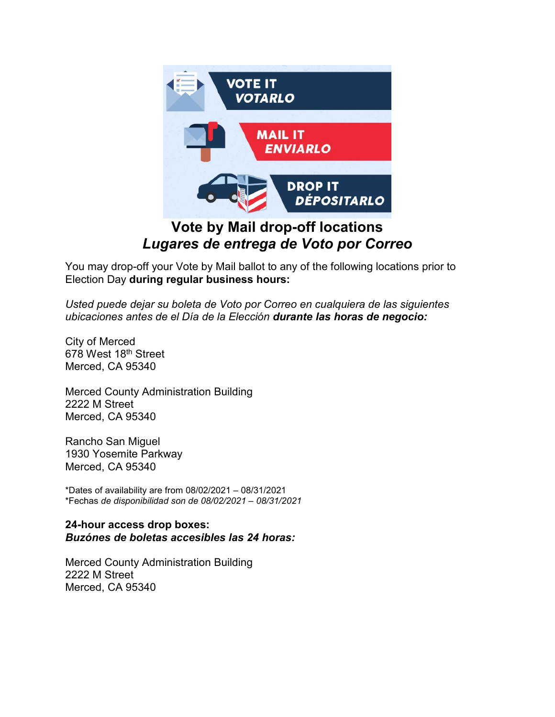

## *Lugares de entrega de Voto por Correo*

You may drop-off your Vote by Mail ballot to any of the following locations prior to Election Day **during regular business hours:**

*Usted puede dejar su boleta de Voto por Correo en cualquiera de las siguientes ubicaciones antes de el Día de la Elección durante las horas de negocio:*

City of Merced 678 West 18th Street Merced, CA 95340

Merced County Administration Building 2222 M Street Merced, CA 95340

Rancho San Miguel 1930 Yosemite Parkway Merced, CA 95340

\*Dates of availability are from 08/02/2021 – 08/31/2021 \*Fechas *de disponibilidad son de 08/02/2021 – 08/31/2021*

### **24-hour access drop boxes:** *Buzónes de boletas accesibles las 24 horas:*

Merced County Administration Building 2222 M Street Merced, CA 95340